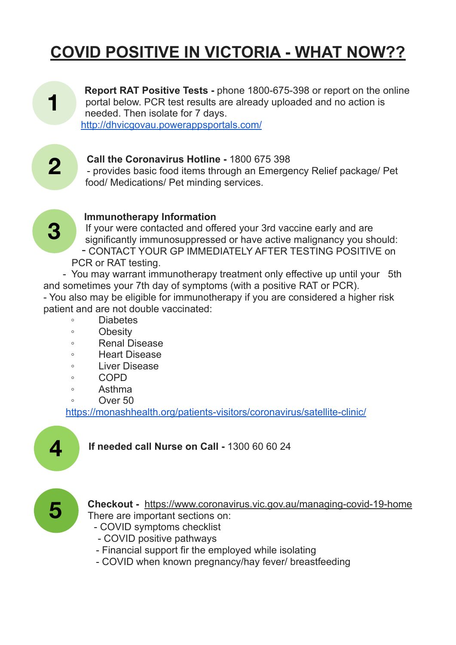# **COVID POSITIVE IN VICTORIA - WHAT NOW??**

**Report RAT Positive Tests -** phone 1800-675-398 or report on the online portal below. PCR test results are already uploaded and no action is needed. Then isolate for 7 days. <http://dhvicgovau.powerappsportals.com/>



**3**

**1**

#### **Call the Coronavirus Hotline -** 1800 675 398

- provides basic food items through an Emergency Relief package/ Pet food/ Medications/ Pet minding services.

#### **Immunotherapy Information**

If your were contacted and offered your 3rd vaccine early and are significantly immunosuppressed or have active malignancy you should: - CONTACT YOUR GP IMMEDIATELY AFTER TESTING POSITIVE on PCR or RAT testing.

 - You may warrant immunotherapy treatment only effective up until your 5th and sometimes your 7th day of symptoms (with a positive RAT or PCR). - You also may be eligible for immunotherapy if you are considered a higher risk patient and are not double vaccinated:

- Diabetes
- Obesity
- Renal Disease
- Heart Disease
- Liver Disease
- COPD
- Asthma
- Over 50

<https://monashhealth.org/patients-visitors/coronavirus/satellite-clinic/>



## **If needed call Nurse on Call -** 1300 60 60 24



**Checkout -** <https://www.coronavirus.vic.gov.au/managing-covid-19-home> There are important sections on:

- COVID symptoms checklist
- COVID positive pathways
- Financial support fir the employed while isolating
- COVID when known pregnancy/hay fever/ breastfeeding